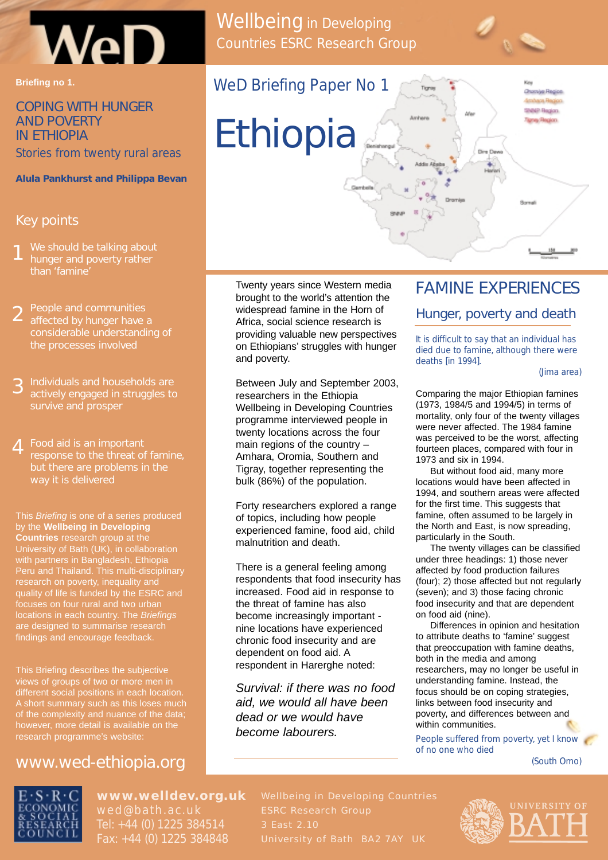

#### **Briefing no 1.**

# COPING WITH HUNGER AND POVERTY IN ETHIOPIA

*Stories from twenty rural areas*

#### **Alula Pankhurst and Philippa Bevan**

#### Key points

- We should be talking about hunger and poverty rather than 'famine' 1
- People and communities affected by hunger have a considerable understanding of the processes involved 2
- Individuals and households are actively engaged in struggles to survive and prosper 3
- Food aid is an important response to the threat of famine, but there are problems in the way it is delivered 4

This Briefing is one of a series produced by the **Wellbeing in Developing Countries** research group at the University of Bath (UK), in collaboration with partners in Bangladesh, Ethiopia Peru and Thailand. This multi-disciplinary research on poverty, inequality and quality of life is funded by the ESRC and locations in each country. The Briefings are designed to summarise research findings and encourage feedback.

This Briefing describes the subjective views of groups of two or more men in different social positions in each location. of the complexity and nuance of the data; however, more detail is available on the research programme's website:

## www.wed-ethiopia.org



# **www.welldev.org.uk**

Tel: +44 (0) 1225 384514 Fax: +44 (0) 1225 384848

Twenty years since Western media brought to the world's attention the widespread famine in the Horn of Africa, social science research is providing valuable new perspectives on Ethiopians' struggles with hunger and poverty.

Between July and September 2003, researchers in the Ethiopia Wellbeing in Developing Countries programme interviewed people in twenty locations across the four main regions of the country – Amhara, Oromia, Southern and Tigray, together representing the bulk (86%) of the population.

Forty researchers explored a range of topics, including how people experienced famine, food aid, child malnutrition and death.

There is a general feeling among respondents that food insecurity has increased. Food aid in response to the threat of famine has also become increasingly important nine locations have experienced chronic food insecurity and are dependent on food aid. A respondent in Harerghe noted:

Survival: if there was no food aid, we would all have been dead or we would have become labourers.

# FAMINE EXPERIENCES

#### Hunger, poverty and death

*It is difficult to say that an individual has died due to famine, although there were deaths [in 1994].*

(Jima area)

Comparing the major Ethiopian famines (1973, 1984/5 and 1994/5) in terms of mortality, only four of the twenty villages were never affected. The 1984 famine was perceived to be the worst, affecting fourteen places, compared with four in 1973 and six in 1994.

But without food aid, many more locations would have been affected in 1994, and southern areas were affected for the first time. This suggests that famine, often assumed to be largely in the North and East, is now spreading, particularly in the South.

The twenty villages can be classified under three headings: 1) those never affected by food production failures (four); 2) those affected but not regularly (seven); and 3) those facing chronic food insecurity and that are dependent on food aid (nine).

Differences in opinion and hesitation to attribute deaths to 'famine' suggest that preoccupation with famine deaths, both in the media and among researchers, may no longer be useful in understanding famine. Instead, the focus should be on coping strategies, links between food insecurity and poverty, and differences between and within communities.

*People suffered from poverty, yet I know of no one who died* 

(South Omo)



Wellbeing in Developing Countries ESRC Research Group

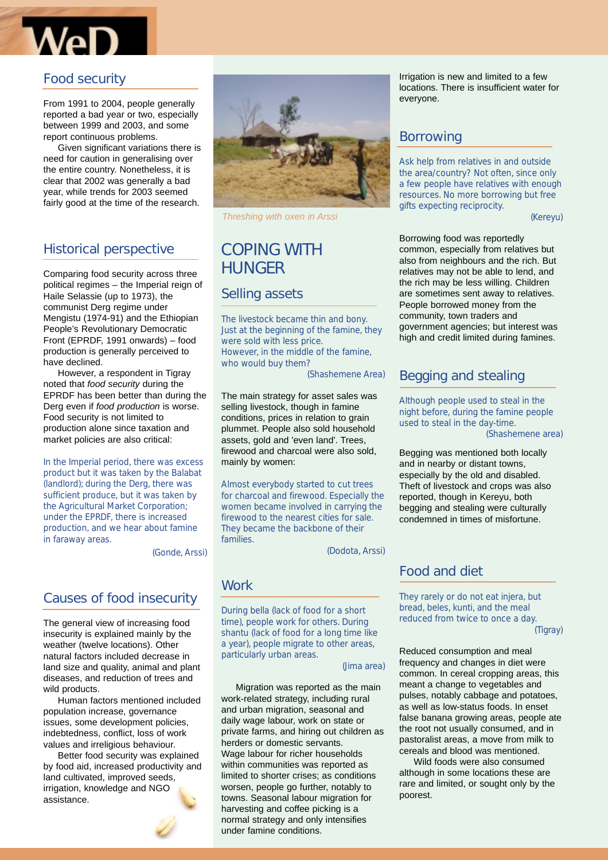

## Food security

From 1991 to 2004, people generally reported a bad year or two, especially between 1999 and 2003, and some report continuous problems.

Given significant variations there is need for caution in generalising over the entire country. Nonetheless, it is clear that 2002 was generally a bad year, while trends for 2003 seemed fairly good at the time of the research.

## Historical perspective

Comparing food security across three political regimes – the Imperial reign of Haile Selassie (up to 1973), the communist Derg regime under Mengistu (1974-91) and the Ethiopian People's Revolutionary Democratic Front (EPRDF, 1991 onwards) – food production is generally perceived to have declined.

However, a respondent in Tigray noted that food security during the EPRDF has been better than during the Derg even if food production is worse. Food security is not limited to production alone since taxation and market policies are also critical:

*In the Imperial period, there was excess product but it was taken by the Balabat (landlord); during the Derg, there was sufficient produce, but it was taken by the Agricultural Market Corporation; under the EPRDF, there is increased production, and we hear about famine in faraway areas.*

(Gonde, Arssi)

## Causes of food insecurity

The general view of increasing food insecurity is explained mainly by the weather (twelve locations). Other natural factors included decrease in land size and quality, animal and plant diseases, and reduction of trees and wild products.

Human factors mentioned included population increase, governance issues, some development policies, indebtedness, conflict, loss of work values and irreligious behaviour.

Better food security was explained by food aid, increased productivity and land cultivated, improved seeds, irrigation, knowledge and NGO assistance.



Threshing with oxen in Arssi

# COPING WITH **HUNGER**

### Selling assets

*The livestock became thin and bony. Just at the beginning of the famine, they were sold with less price. However, in the middle of the famine, who would buy them?* 

(Shashemene Area)

The main strategy for asset sales was selling livestock, though in famine conditions, prices in relation to grain plummet. People also sold household assets, gold and 'even land'. Trees, firewood and charcoal were also sold, mainly by women:

*Almost everybody started to cut trees for charcoal and firewood. Especially the women became involved in carrying the firewood to the nearest cities for sale. They became the backbone of their families.*

(Dodota, Arssi)

### **Work**

*During bella (lack of food for a short time), people work for others. During shantu (lack of food for a long time like a year), people migrate to other areas, particularly urban areas.*

#### (Jima area)

Migration was reported as the main work-related strategy, including rural and urban migration, seasonal and daily wage labour, work on state or private farms, and hiring out children as herders or domestic servants. Wage labour for richer households within communities was reported as limited to shorter crises; as conditions worsen, people go further, notably to towns. Seasonal labour migration for harvesting and coffee picking is a normal strategy and only intensifies under famine conditions.

Irrigation is new and limited to a few locations. There is insufficient water for everyone.

#### Borrowing

*Ask help from relatives in and outside the area/country? Not often, since only a few people have relatives with enough resources. No more borrowing but free gifts expecting reciprocity.*

(Kereyu)

Borrowing food was reportedly common, especially from relatives but also from neighbours and the rich. But relatives may not be able to lend, and the rich may be less willing. Children are sometimes sent away to relatives. People borrowed money from the community, town traders and government agencies; but interest was high and credit limited during famines.

### Begging and stealing

*Although people used to steal in the night before, during the famine people used to steal in the day-time.* (Shashemene area)

Begging was mentioned both locally and in nearby or distant towns, especially by the old and disabled. Theft of livestock and crops was also reported, though in Kereyu, both begging and stealing were culturally condemned in times of misfortune.

### Food and diet

*They rarely or do not eat injera, but bread, beles, kunti, and the meal reduced from twice to once a day.*

(Tigray)

Reduced consumption and meal frequency and changes in diet were common. In cereal cropping areas, this meant a change to vegetables and pulses, notably cabbage and potatoes, as well as low-status foods. In enset false banana growing areas, people ate the root not usually consumed, and in pastoralist areas, a move from milk to cereals and blood was mentioned.

Wild foods were also consumed although in some locations these are rare and limited, or sought only by the poorest.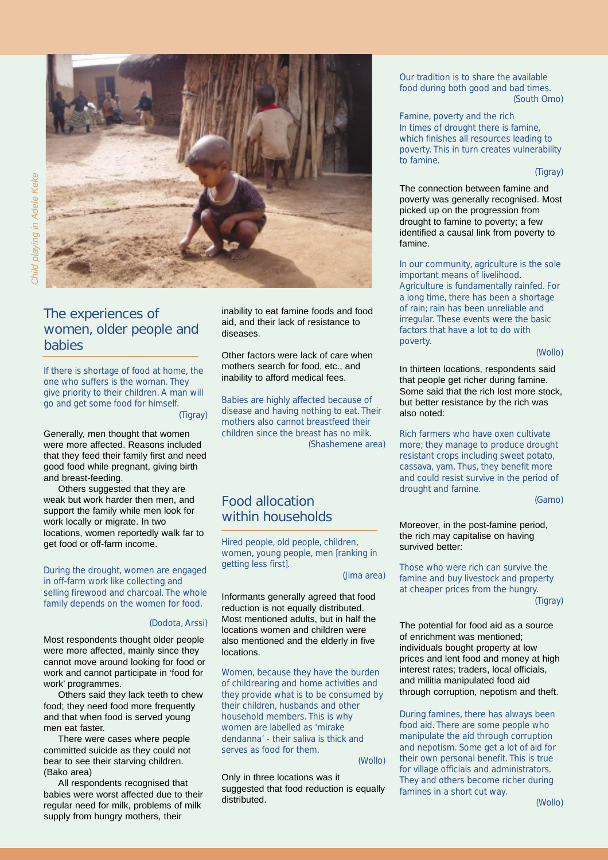



## The experiences of women, older people and babies

*If there is shortage of food at home, the one who suffers is the woman. They give priority to their children. A man will go and get some food for himself.* (Tigray)

Generally, men thought that women were more affected. Reasons included that they feed their family first and need good food while pregnant, giving birth and breast-feeding.

Others suggested that they are weak but work harder then men, and support the family while men look for work locally or migrate. In two locations, women reportedly walk far to get food or off-farm income.

*During the drought, women are engaged in off-farm work like collecting and selling firewood and charcoal. The whole family depends on the women for food.*

#### (Dodota, Arssi)

Most respondents thought older people were more affected, mainly since they cannot move around looking for food or work and cannot participate in 'food for work' programmes.

Others said they lack teeth to chew food; they need food more frequently and that when food is served young men eat faster.

There were cases where people committed suicide as they could not bear to see their starving children. (Bako area)

All respondents recognised that babies were worst affected due to their regular need for milk, problems of milk supply from hungry mothers, their

inability to eat famine foods and food aid, and their lack of resistance to diseases.

Other factors were lack of care when mothers search for food, etc., and inability to afford medical fees.

*Babies are highly affected because of disease and having nothing to eat. Their mothers also cannot breastfeed their children since the breast has no milk.* (Shashemene area)

# Food allocation within households

*Hired people, old people, children, women, young people, men [ranking in getting less first].*

(Jima area)

Informants generally agreed that food reduction is not equally distributed. Most mentioned adults, but in half the locations women and children were also mentioned and the elderly in five locations.

*Women, because they have the burden of childrearing and home activities and they provide what is to be consumed by their children, husbands and other household members. This is why women are labelled as 'mirake dendanna' - their saliva is thick and serves as food for them.*

(Wollo)

Only in three locations was it suggested that food reduction is equally distributed.

*Our tradition is to share the available food during both good and bad times.* (South Omo)

*Famine, poverty and the rich In times of drought there is famine, which finishes all resources leading to poverty. This in turn creates vulnerability to famine.*

(Tigray)

The connection between famine and poverty was generally recognised. Most picked up on the progression from drought to famine to poverty; a few identified a causal link from poverty to famine.

*In our community, agriculture is the sole important means of livelihood. Agriculture is fundamentally rainfed. For a long time, there has been a shortage of rain; rain has been unreliable and irregular. These events were the basic factors that have a lot to do with poverty.*

(Wollo)

In thirteen locations, respondents said that people get richer during famine. Some said that the rich lost more stock, but better resistance by the rich was also noted:

*Rich farmers who have oxen cultivate more; they manage to produce drought resistant crops including sweet potato, cassava, yam. Thus, they benefit more and could resist survive in the period of drought and famine.*

(Gamo)

#### Moreover, in the post-famine period, the rich may capitalise on having survived better:

*Those who were rich can survive the famine and buy livestock and property at cheaper prices from the hungry.* (Tigray)

The potential for food aid as a source of enrichment was mentioned; individuals bought property at low prices and lent food and money at high interest rates; traders, local officials, and militia manipulated food aid through corruption, nepotism and theft.

*During famines, there has always been food aid. There are some people who manipulate the aid through corruption and nepotism. Some get a lot of aid for their own personal benefit. This is true for village officials and administrators. They and others become richer during famines in a short cut way.*